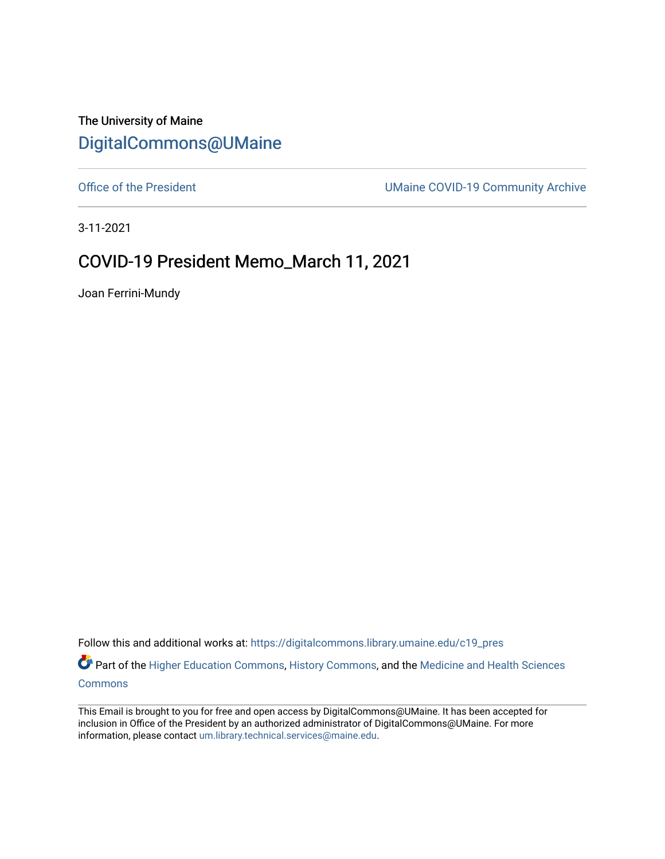The University of Maine [DigitalCommons@UMaine](https://digitalcommons.library.umaine.edu/)

[Office of the President](https://digitalcommons.library.umaine.edu/c19_pres) **UMaine COVID-19 Community Archive** 

3-11-2021

## COVID-19 President Memo\_March 11, 2021

Joan Ferrini-Mundy

Follow this and additional works at: [https://digitalcommons.library.umaine.edu/c19\\_pres](https://digitalcommons.library.umaine.edu/c19_pres?utm_source=digitalcommons.library.umaine.edu%2Fc19_pres%2F82&utm_medium=PDF&utm_campaign=PDFCoverPages) 

Part of the [Higher Education Commons,](http://network.bepress.com/hgg/discipline/1245?utm_source=digitalcommons.library.umaine.edu%2Fc19_pres%2F82&utm_medium=PDF&utm_campaign=PDFCoverPages) [History Commons,](http://network.bepress.com/hgg/discipline/489?utm_source=digitalcommons.library.umaine.edu%2Fc19_pres%2F82&utm_medium=PDF&utm_campaign=PDFCoverPages) and the Medicine and Health Sciences [Commons](http://network.bepress.com/hgg/discipline/648?utm_source=digitalcommons.library.umaine.edu%2Fc19_pres%2F82&utm_medium=PDF&utm_campaign=PDFCoverPages)

This Email is brought to you for free and open access by DigitalCommons@UMaine. It has been accepted for inclusion in Office of the President by an authorized administrator of DigitalCommons@UMaine. For more information, please contact [um.library.technical.services@maine.edu](mailto:um.library.technical.services@maine.edu).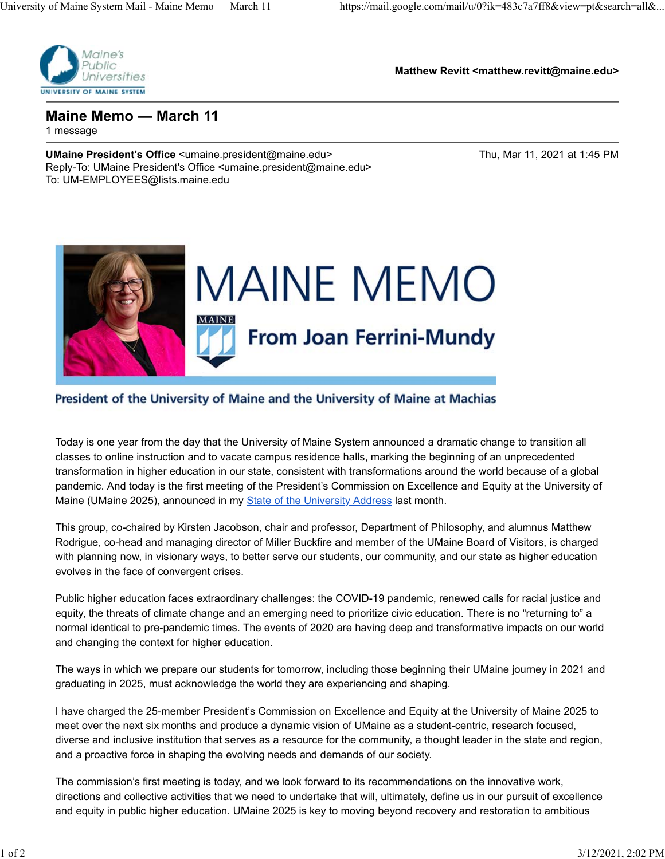

**Matthew Revitt <matthew.revitt@maine.edu>**

**Maine Memo — March 11** 1 message

**UMaine President's Office** <umaine.president@maine.edu> Thu, Mar 11, 2021 at 1:45 PM Reply-To: UMaine President's Office <umaine.president@maine.edu> To: UM-EMPLOYEES@lists.maine.edu



## President of the University of Maine and the University of Maine at Machias

Today is one year from the day that the University of Maine System announced a dramatic change to transition all classes to online instruction and to vacate campus residence halls, marking the beginning of an unprecedented transformation in higher education in our state, consistent with transformations around the world because of a global pandemic. And today is the first meeting of the President's Commission on Excellence and Equity at the University of Maine (UMaine 2025), announced in my State of the University Address last month.

This group, co-chaired by Kirsten Jacobson, chair and professor, Department of Philosophy, and alumnus Matthew Rodrigue, co-head and managing director of Miller Buckfire and member of the UMaine Board of Visitors, is charged with planning now, in visionary ways, to better serve our students, our community, and our state as higher education evolves in the face of convergent crises.

Public higher education faces extraordinary challenges: the COVID-19 pandemic, renewed calls for racial justice and equity, the threats of climate change and an emerging need to prioritize civic education. There is no "returning to" a normal identical to pre-pandemic times. The events of 2020 are having deep and transformative impacts on our world and changing the context for higher education.

The ways in which we prepare our students for tomorrow, including those beginning their UMaine journey in 2021 and graduating in 2025, must acknowledge the world they are experiencing and shaping.

I have charged the 25-member President's Commission on Excellence and Equity at the University of Maine 2025 to meet over the next six months and produce a dynamic vision of UMaine as a student-centric, research focused, diverse and inclusive institution that serves as a resource for the community, a thought leader in the state and region, and a proactive force in shaping the evolving needs and demands of our society.

The commission's first meeting is today, and we look forward to its recommendations on the innovative work, directions and collective activities that we need to undertake that will, ultimately, define us in our pursuit of excellence and equity in public higher education. UMaine 2025 is key to moving beyond recovery and restoration to ambitious